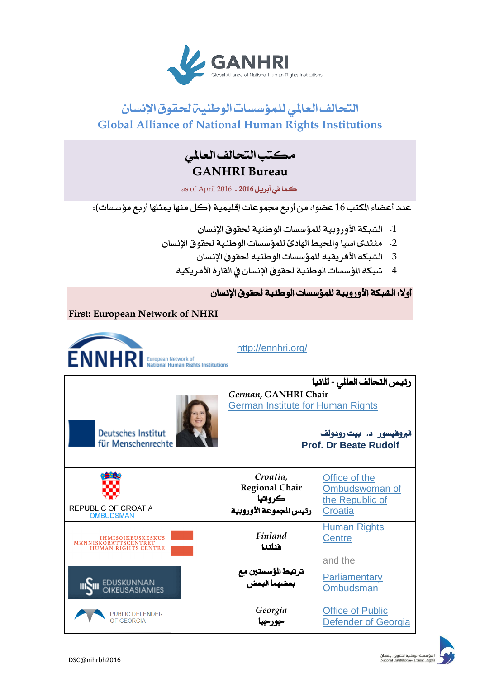

# التحالف العالمي للمؤسسات الوطنيين لحقوق الإنسان **Global Alliance of National Human Rights Institutions**

## مكتب التحالف العاملي **GANHRI Bureau**

كما يف أبريل **6102** - 2016 April of as

عدد أعضاء المكتب 16 عضوا، من أربع مجموعات إقليمية (كل منها يمثلها أربع مؤسسات):

- 1- الشبكة الأوروبية للمؤسسات الوطنية لحقوق الإنسان
- 2- منتدى آسيا والحيط الهادئ للمؤسسات الوطنية لحقوق الإنسان
	- 3- الشبكة الأفريقية للمؤسسات الوطنية لحقوق الإنسان
	- 4- شبكة الم سسات الوطنية لحقوق الإنسان في القارة الأمريكية

## أولا. الشبكة الأوروبية للمؤسسات الوطنية لحقوق الإنسان

**First: European Network of NHRI**

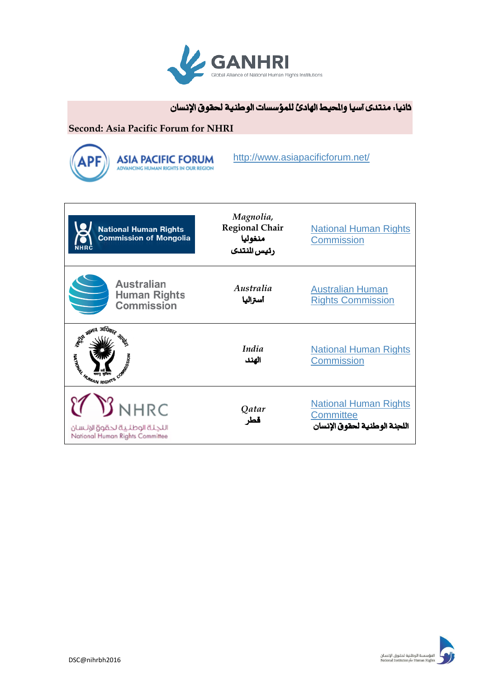

ثانيا: منتدى آسيا والحيط الهادئ للمؤسسات الوطنية لحقوق الإنسان

#### **Second: Asia Pacific Forum for NHRI**



<http://www.asiapacificforum.net/>

| <b>National Human Rights</b><br><b>Commission of Mongolia</b><br>NHRC                                                             | Magnolia,<br><b>Regional Chair</b><br>منغوليا<br>رئيس النتدى | <b>National Human Rights</b><br><b>Commission</b>                                |
|-----------------------------------------------------------------------------------------------------------------------------------|--------------------------------------------------------------|----------------------------------------------------------------------------------|
| <b>Australian</b><br><b>Human Rights</b><br>Commission                                                                            | Australia<br>أستراليا                                        | <b>Australian Human</b><br><b>Rights Commission</b>                              |
| Sta alleid Heim<br>A MARIA CARDINAL CARDINAL CARDINAL CARDINAL CARDINAL CARDINAL CARDINAL CARDINAL CARDINAL CARDINAL CARDINAL CAR | <i>India</i><br>الهند                                        | <b>National Human Rights</b><br><b>Commission</b>                                |
| $\mathfrak V$ NHRC<br>اللجئة الوطئية لحقوق الانسان<br>National Human Rights Committee                                             | Qatar<br>قطر                                                 | <b>National Human Rights</b><br><b>Committee</b><br>اللجنة الوطنية لحقوق الإنسان |

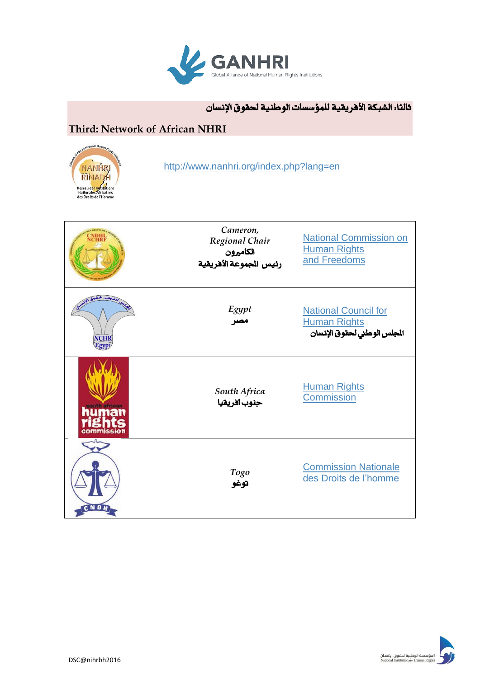

## ثالثا: الشبكة الأفريقية للمؤسسات الوطنية لحقوق الإنسان

## **Third: Network of African NHRI**



<http://www.nanhri.org/index.php?lang=en>

|             | Cameron,<br>Regional Chair<br>الكاميرون<br>رئيس الجموعة الأفريقية | <b>National Commission on</b><br><b>Human Rights</b><br>and Freedoms              |
|-------------|-------------------------------------------------------------------|-----------------------------------------------------------------------------------|
| <b>NCHR</b> | Egypt<br>مصر                                                      | <b>National Council for</b><br><b>Human Rights</b><br>المجلس الوطني لحقوق الإنسان |
| ommission   | South Africa<br>حنوب أفريقيا                                      | <b>Human Rights</b><br>Commission                                                 |
| CNDH        | Togo<br>توغو                                                      | <b>Commission Nationale</b><br>des Droits de l'homme                              |